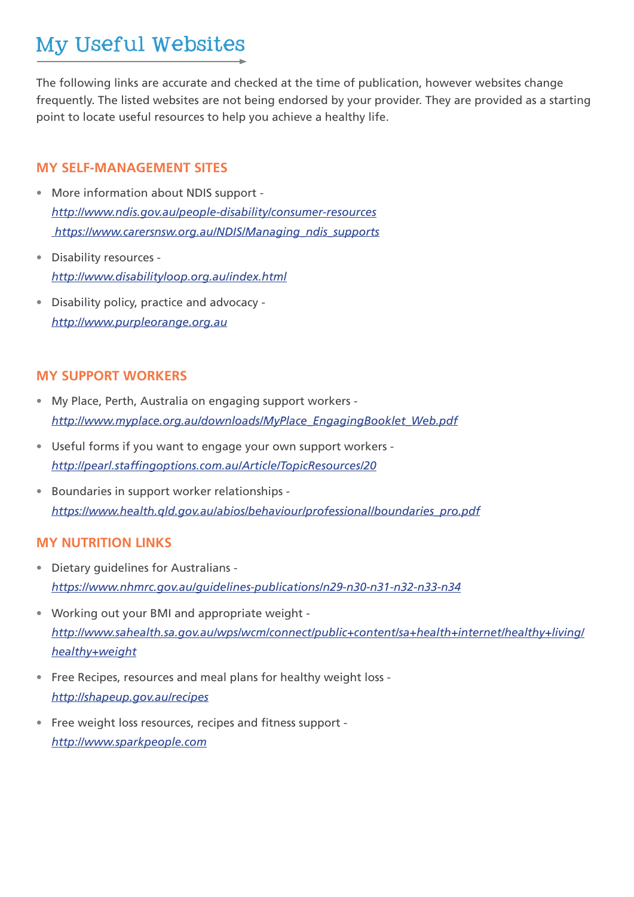# My Useful Websites

The following links are accurate and checked at the time of publication, however websites change frequently. The listed websites are not being endorsed by your provider. They are provided as a starting point to locate useful resources to help you achieve a healthy life.

#### **MY SELF-MANAGEMENT SITES**

- More information about NDIS support *http://www.ndis.gov.au/people-disability/consumer-resources https://www.carersnsw.org.au/NDIS/Managing\_ndis\_supports*
- Disability resources *http://www.disabilityloop.org.au/index.html*
- Disability policy, practice and advocacy *http://www.purpleorange.org.au*

### **MY SUPPORT WORKERS**

- My Place, Perth, Australia on engaging support workers *http://www.myplace.org.au/downloads/MyPlace\_EngagingBooklet\_Web.pdf*
- Useful forms if you want to engage your own support workers *http://pearl.staffingoptions.com.au/Article/TopicResources/20*
- Boundaries in support worker relationships *https://www.health.qld.gov.au/abios/behaviour/professional/boundaries\_pro.pdf*

### **MY NUTRITION LINKS**

- Dietary guidelines for Australians *https://www.nhmrc.gov.au/guidelines-publications/n29-n30-n31-n32-n33-n34*
- Working out your BMI and appropriate weight *http://www.sahealth.sa.gov.au/wps/wcm/connect/public+content/sa+health+internet/healthy+living/ healthy+weight*
- Free Recipes, resources and meal plans for healthy weight loss *http://shapeup.gov.au/recipes*
- Free weight loss resources, recipes and fitness support *http://www.sparkpeople.com*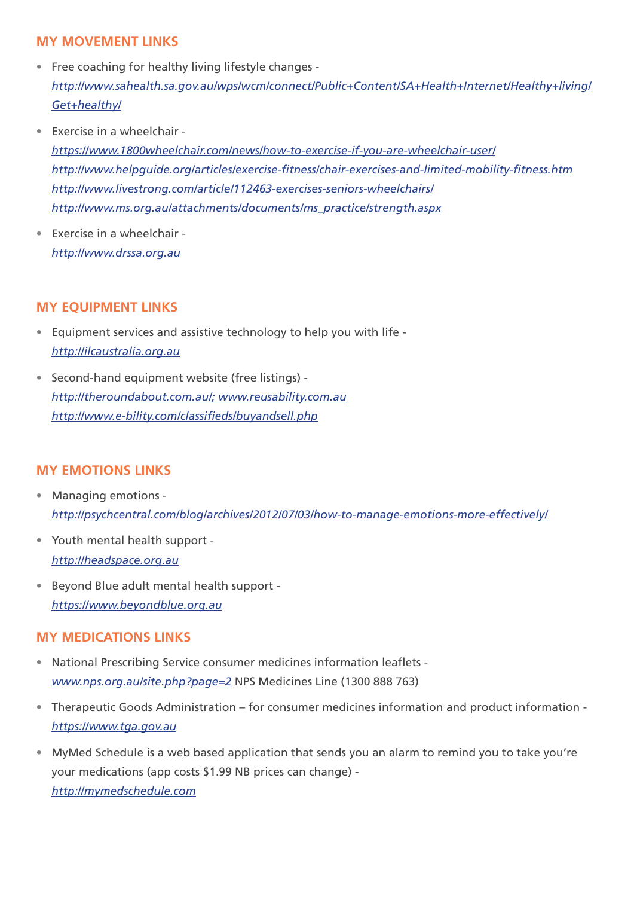## **MY MOVEMENT LINKS**

- Free coaching for healthy living lifestyle changes *http://www.sahealth.sa.gov.au/wps/wcm/connect/Public+Content/SA+Health+Internet/Healthy+living/ Get+healthy/*
- Exercise in a wheelchair *https://www.1800wheelchair.com/news/how-to-exercise-if-you-are-wheelchair-user/ http://www.helpguide.org/articles/exercise-fitness/chair-exercises-and-limited-mobility-fitness.htm http://www.livestrong.com/article/112463-exercises-seniors-wheelchairs/ http://www.ms.org.au/attachments/documents/ms\_practice/strength.aspx*
- Exercise in a wheelchair *http://www.drssa.org.au*

### **MY EQUIPMENT LINKS**

- Equipment services and assistive technology to help you with life *http://ilcaustralia.org.au*
- Second-hand equipment website (free listings) *http://theroundabout.com.au/; www.reusability.com.au http://www.e-bility.com/classifieds/buyandsell.php*

### **MY EMOTIONS LINKS**

- Managing emotions *http://psychcentral.com/blog/archives/2012/07/03/how-to-manage-emotions-more-effectively/*
- Youth mental health support *http://headspace.org.au*
- Beyond Blue adult mental health support *https://www.beyondblue.org.au*

### **MY MEDICATIONS LINKS**

- National Prescribing Service consumer medicines information leaflets *www.nps.org.au/site.php?page=2* NPS Medicines Line (1300 888 763)
- Therapeutic Goods Administration for consumer medicines information and product information *https://www.tga.gov.au*
- MyMed Schedule is a web based application that sends you an alarm to remind you to take you're your medications (app costs \$1.99 NB prices can change) *http://mymedschedule.com*